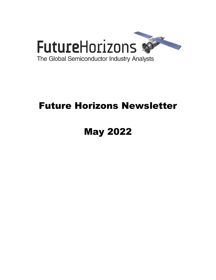

# Future Horizons Newsletter

# May 2022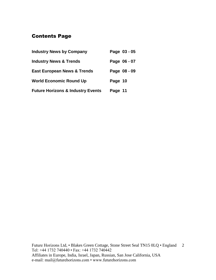## Contents Page

| <b>Industry News by Company</b>              | Page 03 - 05 |
|----------------------------------------------|--------------|
| <b>Industry News &amp; Trends</b>            | Page 06 - 07 |
| <b>East European News &amp; Trends</b>       | Page 08 - 09 |
| <b>World Economic Round Up</b>               | Page 10      |
| <b>Future Horizons &amp; Industry Events</b> | Page 11      |

Future Horizons Ltd, • Blakes Green Cottage, Stone Street Seal TN15 0LQ • England 2 Tel: +44 1732 740440 • Fax: +44 1732 740442 Affiliates in Europe, India, Israel, Japan, Russian, San Jose California, USA e-mail: mail@futurehorizons.com • www.futurehorizons.com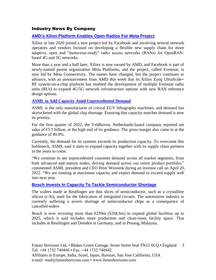#### Industry News By Company

#### **[AMD's Xilinx Platform Enables Open Radios For Meta Project](https://www.fierceelectronics.com/iot-wireless/amds-xilinx-platform-enables-open-radios-meta-project)**

Xilinx in late 2020 joined a new project led by Facebook and involving several network operators and vendors focused on developing a flexible new supply chain for more adaptive, open and "metaverse-ready" radio access networks (RANs) for OpenRANbased 4G and 5G networks.

More than a year and a half later, Xilinx is now owned by AMD, and Facebook is part of newly-named parent organization Meta Platforms, and the project, called Evenstar, is now led by Meta Connectivity. The names have changed, but the project continues to advance, with an announcement from AMD this week that its Xilinx Zynq UltraScale+ RF system-on-a-chip platform has enabled the development of multiple Evenstar radio units (RUs) to expand 4G/5G network infrastructure options with new RAN reference design options.

#### **[ASML to Add Capacity Amid Unprecedented Demand](https://www.eetimes.eu/asml-to-add-capacity-amid-unprecedented-demand/?utm_source=newsletter&utm_campaign=link&utm_medium=EETimesEuropeWeekly-20220428)**

ASML is the only manufacturer of critical EUV lithography machines, and demand has skyrocketed with the global chip shortage. Ensuring that capacity matches demand is now its priority.

For the first quarter of 2022, the Veldhoven, Netherlands-based company reported net sales of  $\epsilon$ 3.5 billion, at the high end of its guidance. The gross margin also came in at the guidance of 49.0%.

Currently, the demand for its systems exceeds its production capacity. To overcome this bottleneck, ASML said it aims to expand capacity together with its supply chain partners in the years to come.

"We continue to see unprecedented customer demand across all market segments, from both advanced and mature nodes, driving demand across our entire product portfolio," commented ASML president and CEO Peter Wennink during an investor call on April 20, 2022. "We are running at maximum capacity and expect demand to exceed supply well into next year.

#### **[Bosch Invests In Capacity To Tackle Semiconductor Shortage](https://www.automotivelogistics.media/tier-suppliers/bosch-invests-in-capacity-to-tackle-semiconductor-shortage/42947.article)**

The wafers made at Reutlingen are thin slices of semiconductor, such as a crystalline silicon (c-Si), used for the fabrication of integrated circuits. The automotive industry is currently suffering a severe shortage of semiconductor chips as a consequence of cancelled orders

Bosch is now investing more than  $E250m$  (\$268.6m) to expand global facilities up to 2025, which it said includes more production and clean-room facility space. That includes at Reutlingen and Dresden in Germany, and in Penang, Malaysia.

Future Horizons Ltd, • Blakes Green Cottage, Stone Street Seal TN15 0LQ • England 3 Tel: +44 1732 740440 • Fax: +44 1732 740442 Affiliates in Europe, India, Israel, Japan, Russian, San Jose California, USA e-mail: mail@futurehorizons.com • www.futurehorizons.com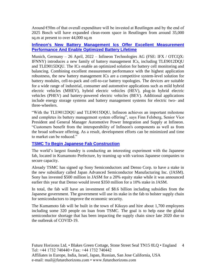Around €50m of that overall expenditure will be invested at Reutlingen and by the end of 2025 Bosch will have expanded clean-room space in Reutlingen from around 35,000 sq.m at present to over 44,000 sq.m

#### **[Infineon's New Battery Management Ics Offer Excellent Measurement](https://www.infineon.com/cms/en/about-infineon/press/market-news/2022/INFATV202204-072.html)  [Performance And Enable Optimized Battery Lifetime](https://www.infineon.com/cms/en/about-infineon/press/market-news/2022/INFATV202204-072.html)**

Munich, Germany – 26 April, 2022 – Infineon Technologies AG (FSE: IFX / OTCQX: IFNNY) introduces a new family of battery management ICs, including TLE9012DQU and TLE9015DQU. The ICs enable an optimized solution for battery cell monitoring and balancing. Combining excellent measurement performance with the highest application robustness, the new battery management ICs are a competitive system-level solution for battery modules, cell-to-pack and cell-to-car battery topologies. The devices are suitable for a wide range of industrial, consumer and automotive applications such as mild hybrid electric vehicles (MHEV), hybrid electric vehicles (HEV), plug-in hybrid electric vehicles (PHEV) and battery-powered electric vehicles (BEV). Additional applications include energy storage systems and battery management systems for electric two- and three-wheelers.

"With the TLE9012DQU and TLE9015DQU, Infineon achieves an important milestone and completes its battery management system offering", says Finn Felsberg, Senior Vice President and General Manager Automotive Power Integration and Supply at Infineon. "Customers benefit from the interoperability of Infineon's components as well as from the broad software offering. As a result, development efforts can be minimized and time to market can be reduced."

#### **[TSMC To Begin Japanese Fab Construction](https://electronics360.globalspec.com/article/18031/tsmc-to-begin-japanese-fab-construction)**

The world's largest foundry is conducting an interesting experiment with the Japanese fab, located in Kumamoto Prefecture, by teaming up with various Japanese companies to secure capacity.

Already TSMC has signed up Sony Semiconductors and Denso Corp. to have a stake in the new subsidiary called Japan Advanced Semiconductor Manufacturing Inc. (JASM). Sony has invested \$500 million in JASM for a 20% equity stake while it was announced earlier this year that Denso would invest \$350 million for a 10% stake in JASM.

In total, the fab will have an investment of \$8.6 billion including subsidies from the Japanese government. The government will use its stake in the fab to bolster supply chain for semiconductors to improve the economic security.

The Kumamoto fab will be built in the town of Kikuyo and hire about 1,700 employees including some 320 people on loan from TSMC. The goal is to help ease the global semiconductor shortage that has been impacting the supply chain since late 2020 due to the outbreak of COVID-19.

Future Horizons Ltd, • Blakes Green Cottage, Stone Street Seal TN15 0LQ • England 4 Tel: +44 1732 740440 • Fax: +44 1732 740442 Affiliates in Europe, India, Israel, Japan, Russian, San Jose California, USA e-mail: mail@futurehorizons.com • www.futurehorizons.com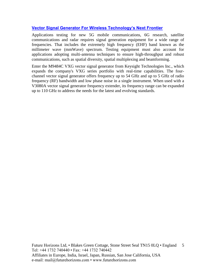#### **[Vector Signal Generator For Wireless Technology's Next Frontier](https://electronics360.globalspec.com/article/18112/vector-signal-generator-for-wireless-technology-s-next-frontier)**

Applications testing for new 5G mobile communications, 6G research, satellite communications and radar requires signal generation equipment for a wide range of frequencies. That includes the extremely high frequency (EHF) band known as the millimeter wave (mmWave) spectrum. Testing equipment must also account for applications adopting multi-antenna techniques to ensure high-throughput and robust communications, such as spatial diversity, spatial multiplexing and beamforming.

Enter the M9484C VXG vector signal generator from Keysight Technologies Inc., which expands the company's VXG series portfolio with real-time capabilities. The fourchannel vector signal generator offers frequency up to 54 GHz and up to 5 GHz of radio frequency (RF) bandwidth and low phase noise in a single instrument. When used with a V3080A vector signal generator frequency extender, its frequency range can be expanded up to 110 GHz to address the needs for the latest and evolving standards.

Future Horizons Ltd, • Blakes Green Cottage, Stone Street Seal TN15 0LQ • England 5 Tel: +44 1732 740440 • Fax: +44 1732 740442 Affiliates in Europe, India, Israel, Japan, Russian, San Jose California, USA e-mail: mail@futurehorizons.com • www.futurehorizons.com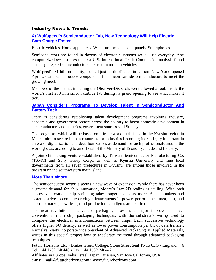#### Industry News & Trends

#### **[At Wolfspeed's Semiconductor Fab, New Technology Will Help Electric](https://eu.uticaod.com/story/news/local/2022/05/02/how-semiconductor-chips-made-wolfspeeds-mohawk-valley-fab/9556205002/)  [Cars Charge Faster](https://eu.uticaod.com/story/news/local/2022/05/02/how-semiconductor-chips-made-wolfspeeds-mohawk-valley-fab/9556205002/)**

Electric vehicles. Home appliances. Wind turbines and solar panels. Smartphones.

Semiconductors are found in dozens of electronic systems we all use everyday. Any computerized system uses them; a U.S. International Trade Commission analysis found as many as 3,500 semiconductors are used in modern vehicles.

Wolfspeed's \$1 billion facility, located just north of Utica in Upstate New York, opened April 25 and will produce components for silicon-carbide semiconductors to meet the growing need.

Members of the media, including the Observer-Dispatch, were allowed a look inside the world's first 200 mm silicon carbide fab during its grand opening to see what makes it tick.

#### **[Japan Considers Programs To Develop Talent In Semiconductor And](https://www.japantimes.co.jp/news/2022/05/02/business/economy-business/japan-chipmakers-battery-program/)  [Battery Tech](https://www.japantimes.co.jp/news/2022/05/02/business/economy-business/japan-chipmakers-battery-program/)**

Japan is considering establishing talent development programs involving industry, academia and government sectors across the country to boost domestic development in semiconductors and batteries, government sources said Sunday.

The programs, which will be based on a framework established in the Kyushu region in March, aim to secure human resources for industries becoming increasingly important in an era of digitalization and decarbonization, as demand for such professionals around the world grows, according to an official of the Ministry of Economy, Trade and Industry.

A joint chipmaking venture established by Taiwan Semiconductor Manufacturing Co. (TSMC) and Sony Group Corp., as well as Kyushu University and nine local governments from all seven prefectures in Kyushu, are among those involved in the program on the southwestern main island.

#### **[More Than Moore](https://www.eetimes.com/more-than-moore/?utm_source=newsletter&utm_campaign=link&utm_medium=EETimesDaily-20220503&oly_enc_id=8919F4532689J1C)**

The semiconductor sector is seeing a new wave of expansion. While there has never been a greater demand for chip innovation, Moore's Law 2D scaling is stalling. With each successive iteration, chip shrinking takes longer and costs more. As chipmakers and systems strive to continue driving advancements in power, performance, area, cost, and speed to market, new design and production paradigms are required.

The next revolution in advanced packaging provides a major improvement over conventional multi–chip packaging techniques, with the substrate's wiring used to complete the electrical interconnections between chips. Each successive technology offers higher I/O density, as well as lower power consumption per bit of data transfer. Nirmalya Maity, corporate vice president of Advanced Packaging at Applied Materials, writes in this special project how to accelerate the trend through advanced packaging techniques.

Future Horizons Ltd, • Blakes Green Cottage, Stone Street Seal TN15 0LQ • England 6 Tel: +44 1732 740440 • Fax: +44 1732 740442

Affiliates in Europe, India, Israel, Japan, Russian, San Jose California, USA e-mail: mail@futurehorizons.com • www.futurehorizons.com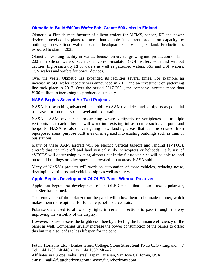#### **[Okmetic to Build €400m Wafer Fab, Create 500 Jobs in Finland](https://www.eetimes.eu/okmetic-to-build-e400m-wafer-fab-create-500-jobs-in-finland/?utm_source=newsletter&utm_campaign=link&utm_medium=EETimesEuropeWeekly-20220512)**

Okmetic, a Finnish manufacturer of silicon wafers for MEMS, sensor, RF and power devices, unveiled its plans to more than double its current production capacity by building a new silicon wafer fab at its headquarters in Vantaa, Finland. Production is expected to start in 2025.

Okmetic's existing facility in Vantaa focuses on crystal growing and production of 150- 200 mm silicon wafers, such as silicon-on-insulator (SOI) wafers with and without cavities, high-resistivity RFSi wafers as well as patterned wafers, SSP and DSP wafers, TSV wafers and wafers for power devices.

Over the years, Okmetic has expanded its facilities several times. For example, an increase in SOI wafer capacity was announced in 2011 and an investment on patterning line took place in 2017. Over the period 2017-2021, the company invested more than  $€100$  million in increasing its production capacity.

#### **[NASA Begins Several Air Taxi Projects](https://electronics360.globalspec.com/article/18071/nasa-begins-several-air-taxi-projects)**

NASA is researching advanced air mobility (AAM) vehicles and vertiports as potential use cases for future airspace travel and exploration.

NASA's AAM division is researching where vertiports or vertiplexes — multiple vertiports near each other — will work into existing infrastructure such as airports and heliports. NASA is also investigating new landing areas that can be created from repurposed areas, purpose built sites or integrated into existing buildings such as train or bus stations.

Many of these AAM aircraft will be electric vertical takeoff and landing (eVTOL), aircraft that can take off and land vertically like helicopters or helipads. Early use of eVTOLS will occur using existing airports but in the future vehicles will be able to land on top of buildings or other spaces in crowded urban areas, NASA said.

Many of NASA's projects will work on automation of these vehicles, reducing noise, developing vertiports and vehicle design as well as safety.

#### **[Apple Begins Development Of OLED Panel Without Polarizer](http://www.thelec.net/news/articleView.html?idxno=4026)**

Apple has begun the development of an OLED panel that doesn't use a polarizer, TheElec has learned.

The removable of the polarizer on the panel will allow them to be made thinner, which makes them more optimal for foldable panels, sources said.

Polarizers are used to allow only lights in certain directions to pass through, thereby improving the visibility of the display.

However, its use lessens the brightness, thereby affecting the luminance efficiency of the panel as well. Companies usually increase the power consumption of the panels to offset this but this also leads to less lifespan for the panel

Future Horizons Ltd, • Blakes Green Cottage, Stone Street Seal TN15 0LQ • England 7 Tel: +44 1732 740440 • Fax: +44 1732 740442 Affiliates in Europe, India, Israel, Japan, Russian, San Jose California, USA e-mail: mail@futurehorizons.com • www.futurehorizons.com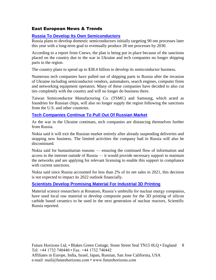#### East European News & Trends

#### **[Russia To Develop Its Own Semiconductors](https://electronics360.globalspec.com/article/18021/report-russia-to-develop-its-own-semiconductors)**

Russia plans to develop domestic semiconductors initially targeting 90 nm processes later this year with a long-term goal to eventually produce 28 nm processes by 2030.

According to a report from Cnews, the plan is being put in place because of the sanctions placed on the country due to the war in Ukraine and tech companies no longer shipping parts to the region.

The country plans to spend up to \$38.4 billion to develop its semiconductor business.

Numerous tech companies have pulled out of shipping parts to Russia after the invasion of Ukraine including semiconductor vendors, automakers, search engines, computer firms and networking equipment operators. Many of these companies have decided to also cut ties completely with the country and will no longer do business there.

Taiwan Semiconductor Manufacturing Co. (TSMC) and Samsung, which acted as foundries for Russian chips, will also no longer supply the region following the sanctions from the U.S. and other countries.

#### **[Tech Companies Continue To Pull Out Of Russian Market](https://electronics360.globalspec.com/article/18007/tech-companies-continue-to-pull-out-of-russian-market)**

As the war in the Ukraine continues, tech companies are distancing themselves further from Russia.

Nokia said it will exit the Russian market entirely after already suspending deliveries and stopping new business. The limited activities the company had in Russia will also be discontinued.

Nokia said for humanitarian reasons — ensuring the continued flow of information and access to the internet outside of Russia — it would provide necessary support to maintain the networks and are applying for relevant licensing to enable this support in compliance with current sanctions.

Nokia said since Russia accounted for less than 2% of its net sales in 2021, this decision is not expected to impact its 2022 outlook financially.

#### **[Scientists Develop Promising Material For Industrial 3D Printing](http://www.marchmontnews.com/Materials-Extraction/Central-regions/23717-Scientists-develop-promising-material-for-industrial-3D-printing--.html)**

Material science researchers at Rosatom, Russia's umbrella for nuclear energy companies, have used local raw material to develop composite paste for the 3D printing of silicon carbide based ceramics to be used in the next generation of nuclear reactors, Scientific Russia reported.

Future Horizons Ltd, • Blakes Green Cottage, Stone Street Seal TN15 0LQ • England 8 Tel: +44 1732 740440 • Fax: +44 1732 740442 Affiliates in Europe, India, Israel, Japan, Russian, San Jose California, USA e-mail: mail@futurehorizons.com • www.futurehorizons.com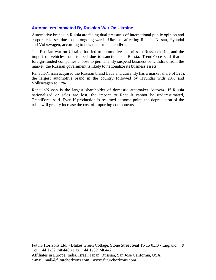#### **[Automakers Impacted By Russian War On Ukraine](https://electronics360.globalspec.com/article/17921/automakers-impacted-by-russian-war-on-ukraine)**

Automotive brands in Russia are facing dual pressures of international public opinion and corporate losses due to the ongoing war in Ukraine, affecting Renault-Nissan, Hyundai and Volkswagen, according to new data from TrendForce.

The Russian war on Ukraine has led to automotive factories in Russia closing and the import of vehicles has stopped due to sanctions on Russia. TrendForce said that if foreign-funded companies choose to permanently suspend business or withdraw from the market, the Russian government is likely to nationalize its business assets.

Renault-Nissan acquired the Russian brand Lada and currently has a market share of 32%, the largest automotive brand in the country followed by Hyundai with 23% and Volkswagen at 12%.

Renault-Nissan is the largest shareholder of domestic automaker Avtovaz. If Russia nationalized or sales are lost, the impact to Renault cannot be underestimated, TrendForce said. Even if production is resumed at some point, the depreciation of the ruble will greatly increase the cost of importing components.

Future Horizons Ltd, • Blakes Green Cottage, Stone Street Seal TN15 0LQ • England 9 Tel: +44 1732 740440 • Fax: +44 1732 740442 Affiliates in Europe, India, Israel, Japan, Russian, San Jose California, USA e-mail: mail@futurehorizons.com • www.futurehorizons.com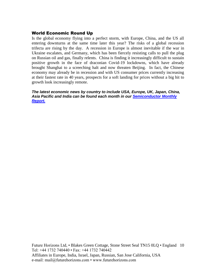#### World Economic Round Up

Is the global economy flying into a perfect storm, with Europe, China, and the US all entering downturns at the same time later this year? The risks of a global recession trifecta are rising by the day. A recession in Europe is almost inevitable if the war in Ukraine escalates, and Germany, which has been fiercely resisting calls to pull the plug on Russian oil and gas, finally relents. China is finding it increasingly difficult to sustain positive growth in the face of draconian Covid-19 lockdowns, which have already brought Shanghai to a screeching halt and now threaten Beijing. In fact, the Chinese economy may already be in recession and with US consumer prices currently increasing at their fastest rate in 40 years, prospects for a soft landing for prices without a big hit to growth look increasingly remote.

*The latest economic news by country to include USA, Europe, UK, Japan, China, Asia Pacific and India can be found each month in our [Semiconductor Monthly](http://www.futurehorizons.com/page/18/Global-Semiconductor-Report)  [Report.](http://www.futurehorizons.com/page/18/Global-Semiconductor-Report)* 

Future Horizons Ltd, • Blakes Green Cottage, Stone Street Seal TN15 0LQ • England 10 Tel: +44 1732 740440 • Fax: +44 1732 740442 Affiliates in Europe, India, Israel, Japan, Russian, San Jose California, USA e-mail: mail@futurehorizons.com • www.futurehorizons.com